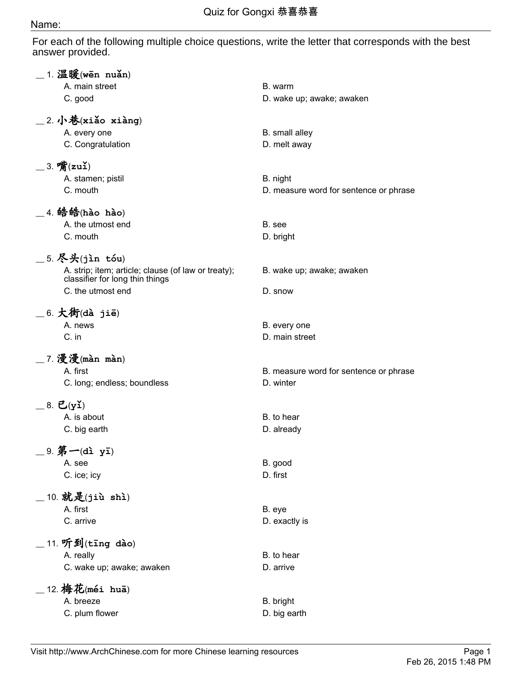## Name:

For each of the following multiple choice questions, write the letter that corresponds with the best answer provided.

| $\_$ 1. 温暖(wēn nuǎn)                                 |                                        |
|------------------------------------------------------|----------------------------------------|
| A. main street                                       | B. warm                                |
| C. good                                              | D. wake up; awake; awaken              |
| $\_$ 2. 小巷(xiǎo xiàng)                               |                                        |
| A. every one                                         | B. small alley                         |
| C. Congratulation                                    | D. melt away                           |
| $\_$ 3. 嘴(zuǐ)                                       |                                        |
| A. stamen; pistil                                    | B. night                               |
| C. mouth                                             | D. measure word for sentence or phrase |
| $\_$ 4. 皓皓(hào hào)                                  |                                        |
| A. the utmost end                                    | B. see                                 |
| C. mouth                                             | D. bright                              |
| _5. 尽头(jìn tóu)                                      |                                        |
| A. strip; item; article; clause (of law or treaty);  | B. wake up; awake; awaken              |
| classifier for long thin things<br>C. the utmost end | D. snow                                |
|                                                      |                                        |
| $\_$ 6. 大街(dà jiē)                                   |                                        |
| A. news                                              | B. every one                           |
| C. in                                                | D. main street                         |
| _7. 漫漫(màn màn)                                      |                                        |
| A. first                                             | B. measure word for sentence or phrase |
| C. long; endless; boundless                          | D. winter                              |
| $=$ 8. 已(yǐ)                                         |                                        |
| A. is about                                          | B. to hear                             |
| C. big earth                                         | D. already                             |
| 9. 第一(dì yī)                                         |                                        |
| A. see                                               | B. good                                |
| C. ice; icy                                          | D. first                               |
| 10. 就是(jiù shì)                                      |                                        |
| A. first                                             | B. eye                                 |
| C. arrive                                            | D. exactly is                          |
|                                                      |                                        |
| 11. 听到(tīng dào)                                     |                                        |
| A. really                                            | B. to hear                             |
| C. wake up; awake; awaken                            | D. arrive                              |
| 12. 梅花(méi huā)                                      |                                        |
| A. breeze                                            | B. bright                              |
| C. plum flower                                       | D. big earth                           |
|                                                      |                                        |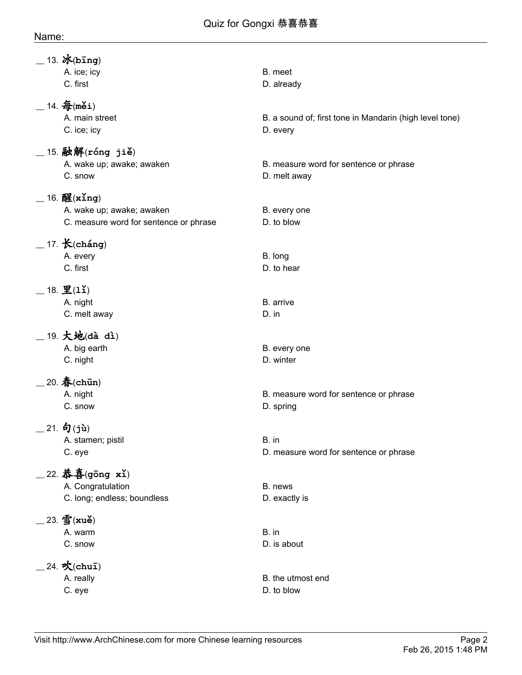| $-13.$ <i>i</i> K(bing)                                             |                                                         |
|---------------------------------------------------------------------|---------------------------------------------------------|
| A. ice; icy<br>C. first                                             | B. meet<br>D. already                                   |
| $_{-}$ 14. $\mathbf{\hat{\#}}$ (měi)<br>A. main street              | B. a sound of; first tone in Mandarin (high level tone) |
| C. ice; icy                                                         | D. every                                                |
| $\_$ 15. 融解(róng jiě)<br>A. wake up; awake; awaken<br>C. snow       | B. measure word for sentence or phrase<br>D. melt away  |
| $-$ 16. 醒(xing)                                                     |                                                         |
| A. wake up; awake; awaken<br>C. measure word for sentence or phrase | B. every one<br>D. to blow                              |
| $\_$ 17. $\mathcal{K}(\texttt{cháng})$                              |                                                         |
| A. every                                                            | B. long                                                 |
| C. first                                                            | D. to hear                                              |
| $\_$ 18. 里(1ǐ)                                                      |                                                         |
| A. night<br>C. melt away                                            | B. arrive<br>D. in                                      |
|                                                                     |                                                         |
| $\_$ 19. 大地(dà dì)<br>A. big earth                                  | B. every one                                            |
| C. night                                                            | D. winter                                               |
| $20.$ 春(chūn)                                                       |                                                         |
| A. night                                                            | B. measure word for sentence or phrase                  |
| C. snow                                                             | D. spring                                               |
| $-21.$ 句(jù)                                                        |                                                         |
| A. stamen; pistil<br>C. eye                                         | B. in<br>D. measure word for sentence or phrase         |
|                                                                     |                                                         |
| _22. 恭喜(gōng xǐ)<br>A. Congratulation                               | B. news                                                 |
| C. long; endless; boundless                                         | D. exactly is                                           |
| $\_$ 23. 雪(xuě)                                                     |                                                         |
| A. warm                                                             | B. in                                                   |
| C. snow                                                             | D. is about                                             |
| $24.$ 吹(chuī)                                                       |                                                         |
| A. really<br>C. eye                                                 | B. the utmost end<br>D. to blow                         |
|                                                                     |                                                         |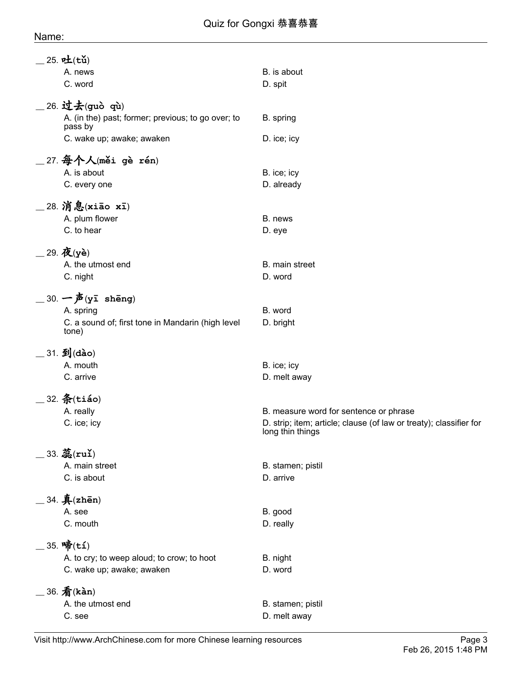| $25.$ 吐(tǔ)                                                   |                                                                                        |
|---------------------------------------------------------------|----------------------------------------------------------------------------------------|
| A. news                                                       | B. is about                                                                            |
| C. word                                                       | D. spit                                                                                |
| 26. 过去(guò qù)                                                |                                                                                        |
| A. (in the) past; former; previous; to go over; to<br>pass by | B. spring                                                                              |
| C. wake up; awake; awaken                                     | D. ice; icy                                                                            |
| _27. $\frac{\textbf{A}}{\textbf{A}}$ 个人(měi gè rén)           |                                                                                        |
| A. is about                                                   | B. ice; icy                                                                            |
| C. every one                                                  | D. already                                                                             |
| _28. 消息(xiāo xī)                                              |                                                                                        |
| A. plum flower                                                | B. news                                                                                |
| C. to hear                                                    | D. eye                                                                                 |
|                                                               |                                                                                        |
| $=$ 29. 夜(yè)<br>A. the utmost end                            | B. main street                                                                         |
|                                                               |                                                                                        |
| C. night                                                      | D. word                                                                                |
| $\_30.$ 一声(yī shēng)                                          |                                                                                        |
| A. spring                                                     | B. word                                                                                |
| C. a sound of; first tone in Mandarin (high level<br>tone)    | D. bright                                                                              |
| $\_$ 31. 到(dào)                                               |                                                                                        |
| A. mouth                                                      | B. ice; icy                                                                            |
| C. arrive                                                     | D. melt away                                                                           |
|                                                               |                                                                                        |
| $\_$ 32. $x(ti$ áo)                                           |                                                                                        |
| A. really                                                     | B. measure word for sentence or phrase                                                 |
| C. ice; icy                                                   | D. strip; item; article; clause (of law or treaty); classifier for<br>long thin things |
| $33.$ 蕊 $(ru)$                                                |                                                                                        |
| A. main street                                                | B. stamen; pistil                                                                      |
| C. is about                                                   | D. arrive                                                                              |
| .34. 4 (zhēn)                                                 |                                                                                        |
| A. see                                                        | B. good                                                                                |
| C. mouth                                                      | D. really                                                                              |
| _ 35. 啼(tí)                                                   |                                                                                        |
| A. to cry; to weep aloud; to crow; to hoot                    | B. night                                                                               |
| C. wake up; awake; awaken                                     | D. word                                                                                |
| $\_$ 36. $\bar{\mathbf{\mathit{A}}}$ (kàn)                    |                                                                                        |
| A. the utmost end                                             | B. stamen; pistil                                                                      |
| C. see                                                        | D. melt away                                                                           |
|                                                               |                                                                                        |